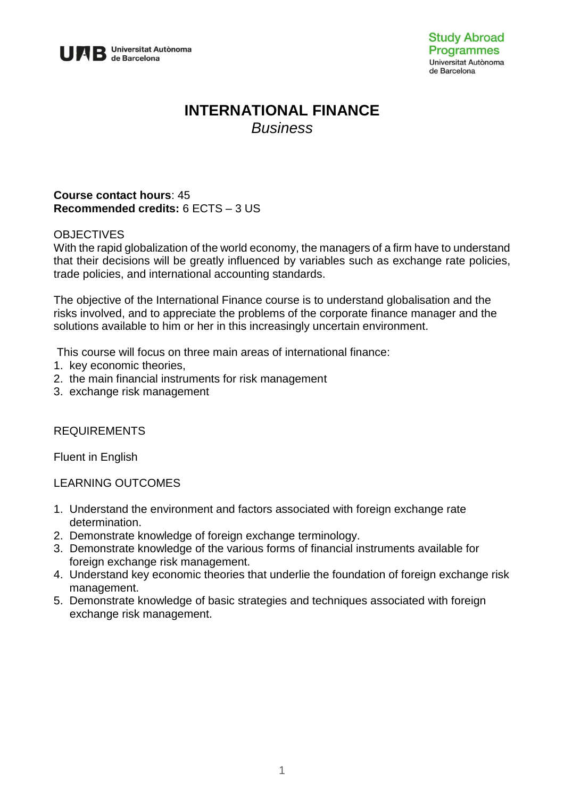

# **INTERNATIONAL FINANCE** *Business*

### **Course contact hours**: 45 **Recommended credits:** 6 ECTS – 3 US

### **OBJECTIVES**

With the rapid globalization of the world economy, the managers of a firm have to understand that their decisions will be greatly influenced by variables such as exchange rate policies, trade policies, and international accounting standards.

The objective of the International Finance course is to understand globalisation and the risks involved, and to appreciate the problems of the corporate finance manager and the solutions available to him or her in this increasingly uncertain environment.

This course will focus on three main areas of international finance:

- 1. key economic theories,
- 2. the main financial instruments for risk management
- 3. exchange risk management

### REQUIREMENTS

Fluent in English

LEARNING OUTCOMES

- 1. Understand the environment and factors associated with foreign exchange rate determination.
- 2. Demonstrate knowledge of foreign exchange terminology.
- 3. Demonstrate knowledge of the various forms of financial instruments available for foreign exchange risk management.
- 4. Understand key economic theories that underlie the foundation of foreign exchange risk management.
- 5. Demonstrate knowledge of basic strategies and techniques associated with foreign exchange risk management.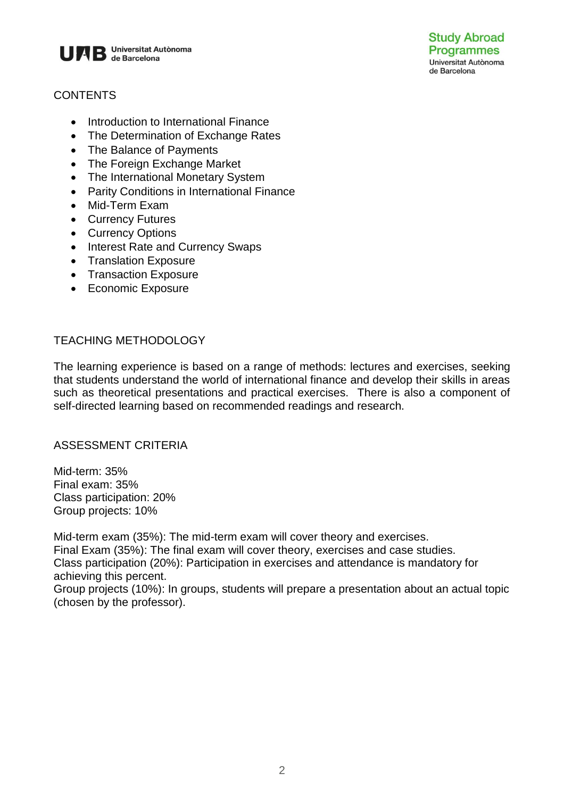

# **CONTENTS**

- Introduction to International Finance
- The Determination of Exchange Rates
- The Balance of Payments
- The Foreign Exchange Market
- The International Monetary System
- Parity Conditions in International Finance
- Mid-Term Exam
- Currency Futures
- Currency Options
- Interest Rate and Currency Swaps
- Translation Exposure
- Transaction Exposure
- Economic Exposure

### TEACHING METHODOLOGY

The learning experience is based on a range of methods: lectures and exercises, seeking that students understand the world of international finance and develop their skills in areas such as theoretical presentations and practical exercises. There is also a component of self-directed learning based on recommended readings and research.

### ASSESSMENT CRITERIA

Mid-term: 35% Final exam: 35% Class participation: 20% Group projects: 10%

Mid-term exam (35%): The mid-term exam will cover theory and exercises. Final Exam (35%): The final exam will cover theory, exercises and case studies. Class participation (20%): Participation in exercises and attendance is mandatory for achieving this percent.

Group projects (10%): In groups, students will prepare a presentation about an actual topic (chosen by the professor).